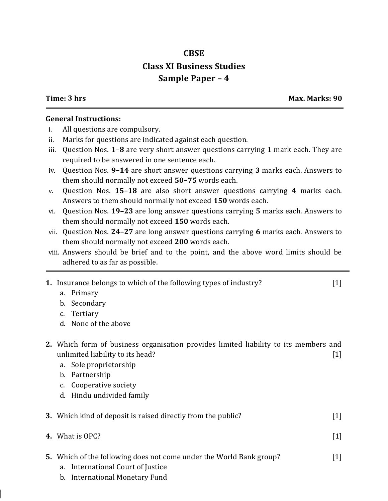## **CBSE Class XI Business Studies Sample Paper – 4**

**Time: 3 hrs Max. Marks: 90**

## **General Instructions:**

- i. All questions are compulsory.
- ii. Marks for questions are indicated against each question.
- iii. Question Nos. **1–8** are very short answer questions carrying **1** mark each. They are required to be answered in one sentence each.
- iv. Question Nos. **9–14** are short answer questions carrying **3** marks each. Answers to them should normally not exceed **50–75** words each.
- v. Question Nos. **15–18** are also short answer questions carrying **4** marks each. Answers to them should normally not exceed **150** words each.
- vi. Question Nos. **19–23** are long answer questions carrying **5** marks each. Answers to them should normally not exceed **150** words each.
- vii. Question Nos. **24–27** are long answer questions carrying **6** marks each. Answers to them should normally not exceed **200** words each.
- viii. Answers should be brief and to the point, and the above word limits should be adhered to as far as possible.

| 1. Insurance belongs to which of the following types of industry?                           | [1]               |
|---------------------------------------------------------------------------------------------|-------------------|
| Primary<br>a.                                                                               |                   |
| b. Secondary                                                                                |                   |
| c. Tertiary                                                                                 |                   |
| d. None of the above                                                                        |                   |
| <b>2.</b> Which form of business organisation provides limited liability to its members and |                   |
| unlimited liability to its head?                                                            | $[1]$             |
| a. Sole proprietorship                                                                      |                   |
| b. Partnership                                                                              |                   |
| Cooperative society<br>C.                                                                   |                   |
| Hindu undivided family<br>d.                                                                |                   |
| <b>3.</b> Which kind of deposit is raised directly from the public?                         | $\lceil 1 \rceil$ |
| 4. What is OPC?                                                                             | $\lceil 1 \rceil$ |
|                                                                                             |                   |

- **5.** Which of the following does not come under the World Bank group? [1]
	- a. International Court of Justice
	- b. International Monetary Fund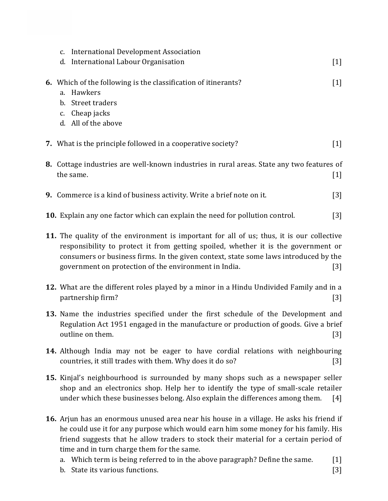| International Development Association<br>$c_{\cdot}$<br>d. International Labour Organisation                                                      | $[1]$             |
|---------------------------------------------------------------------------------------------------------------------------------------------------|-------------------|
| <b>6.</b> Which of the following is the classification of itinerants?<br>a. Hawkers<br>b. Street traders<br>c. Cheap jacks<br>d. All of the above | $[1]$             |
| 7. What is the principle followed in a cooperative society?                                                                                       | $[1]$             |
| <b>8.</b> Cottage industries are well-known industries in rural areas. State any two features of<br>the same.                                     | $[1]$             |
| <b>9.</b> Commerce is a kind of business activity. Write a brief note on it.                                                                      | $\lceil 3 \rceil$ |
| 10. Explain any one factor which can explain the need for pollution control.                                                                      | $[3]$             |

- **11.** The quality of the environment is important for all of us; thus, it is our collective responsibility to protect it from getting spoiled, whether it is the government or consumers or business firms. In the given context, state some laws introduced by the government on protection of the environment in India. [3]
- **12.** What are the different roles played by a minor in a Hindu Undivided Family and in a partnership firm? [3]
- **13.** Name the industries specified under the first schedule of the Development and Regulation Act 1951 engaged in the manufacture or production of goods. Give a brief outline on them. [3]
- **14.** Although India may not be eager to have cordial relations with neighbouring countries, it still trades with them. Why does it do so? [3]
- **15.** Kinjal's neighbourhood is surrounded by many shops such as a newspaper seller shop and an electronics shop. Help her to identify the type of small-scale retailer under which these businesses belong. Also explain the differences among them.  $[4]$
- **16.** Arjun has an enormous unused area near his house in a village. He asks his friend if he could use it for any purpose which would earn him some money for his family. His friend suggests that he allow traders to stock their material for a certain period of time and in turn charge them for the same.
	- a. Which term is being referred to in the above paragraph? Define the same. [1]
	- b. State its various functions. [3]
-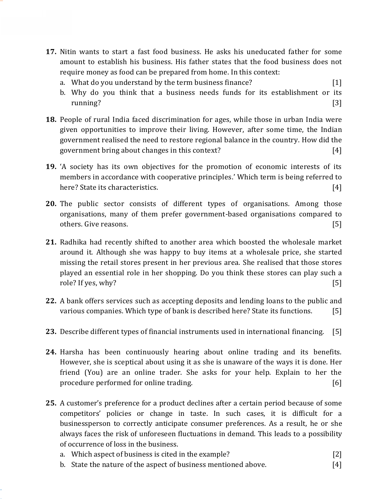- **17.** Nitin wants to start a fast food business. He asks his uneducated father for some amount to establish his business. His father states that the food business does not require money as food can be prepared from home. In this context:
	- a. What do you understand by the term business finance? [1]
	- b. Why do you think that a business needs funds for its establishment or its running? [3]
- **18.** People of rural India faced discrimination for ages, while those in urban India were given opportunities to improve their living. However, after some time, the Indian government realised the need to restore regional balance in the country. How did the government bring about changes in this context? [4]
- **19.** 'A society has its own objectives for the promotion of economic interests of its members in accordance with cooperative principles.' Which term is being referred to here? State its characteristics. [4]
- **20.** The public sector consists of different types of organisations. Among those organisations, many of them prefer government-based organisations compared to others. Give reasons. [5]
- **21.** Radhika had recently shifted to another area which boosted the wholesale market around it. Although she was happy to buy items at a wholesale price, she started missing the retail stores present in her previous area. She realised that those stores played an essential role in her shopping. Do you think these stores can play such a role? If yes, why? [5]
- **22.** A bank offers services such as accepting deposits and lending loans to the public and various companies. Which type of bank is described here? State its functions. [5]
- **23.** Describe different types of financial instruments used in international financing. [5]
- **24.** Harsha has been continuously hearing about online trading and its benefits. However, she is sceptical about using it as she is unaware of the ways it is done. Her friend (You) are an online trader. She asks for your help. Explain to her the procedure performed for online trading. The same state of  $[6]$
- **25.** A customer's preference for a product declines after a certain period because of some competitors' policies or change in taste. In such cases, it is difficult for a businessperson to correctly anticipate consumer preferences. As a result, he or she always faces the risk of unforeseen fluctuations in demand. This leads to a possibility of occurrence of loss in the business.
	- a. Which aspect of business is cited in the example? [2]
	- b. State the nature of the aspect of business mentioned above. [4]